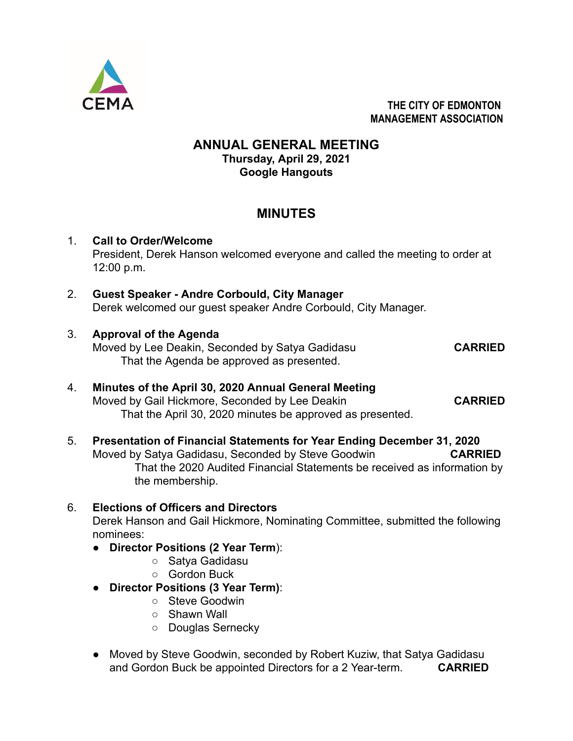

**THE CITY OF EDMONTON MANAGEMENT ASSOCIATION**

## **ANNUAL GENERAL MEETING Thursday, April 29, 2021 Google Hangouts**

# **MINUTES**

## 1. **Call to Order/Welcome** President, Derek Hanson welcomed everyone and called the meeting to order at 12:00 p.m.

- 2. **Guest Speaker Andre Corbould, City Manager** Derek welcomed our guest speaker Andre Corbould, City Manager.
- 3. **Approval of the Agenda** Moved by Lee Deakin, Seconded by Satya Gadidasu **CARRIED** That the Agenda be approved as presented.

- 4. **Minutes of the April 30, 2020 Annual General Meeting** Moved by Gail Hickmore, Seconded by Lee Deakin **CARRIED** That the April 30, 2020 minutes be approved as presented.
- 5. **Presentation of Financial Statements for Year Ending December 31, 2020** Moved by Satya Gadidasu, Seconded by Steve Goodwin **CARRIED** That the 2020 Audited Financial Statements be received as information by the membership.

## 6. **Elections of Officers and Directors**

Derek Hanson and Gail Hickmore, Nominating Committee, submitted the following nominees:

- **Director Positions (2 Year Term**):
	- Satya Gadidasu
	- Gordon Buck
- **Director Positions (3 Year Term)**:
	- Steve Goodwin
	- Shawn Wall
	- Douglas Sernecky
- Moved by Steve Goodwin, seconded by Robert Kuziw, that Satya Gadidasu and Gordon Buck be appointed Directors for a 2 Year-term. **CARRIED**